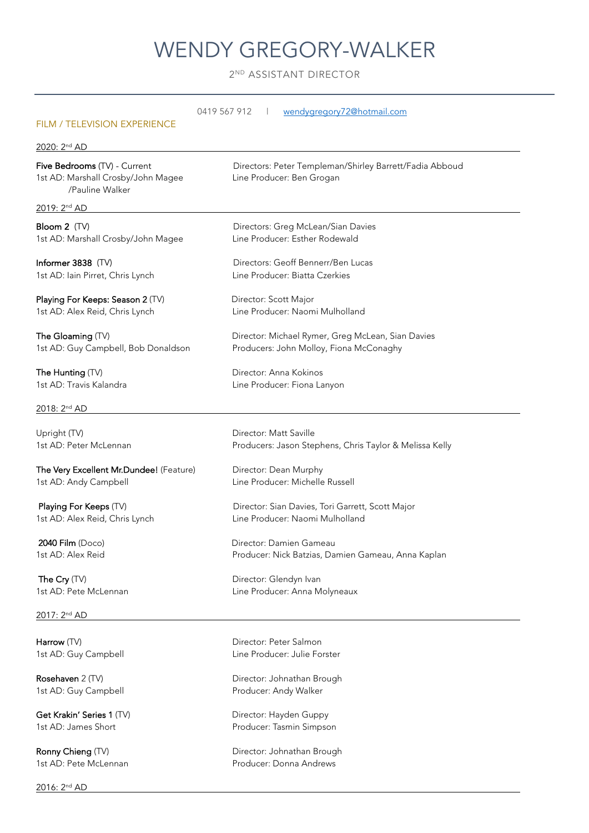# WENDY GREGORY-WALKER

2<sup>ND</sup> ASSISTANT DIRECTOR

| 0419 567 912<br>wendygregory72@hotmail.com<br><b>FILM / TELEVISION EXPERIENCE</b><br>2020: 2 <sup>nd</sup> AD |                                                         |
|---------------------------------------------------------------------------------------------------------------|---------------------------------------------------------|
|                                                                                                               |                                                         |
| 2019: 2 <sup>nd</sup> AD                                                                                      |                                                         |
| Bloom 2 (TV)                                                                                                  | Directors: Greg McLean/Sian Davies                      |
| 1st AD: Marshall Crosby/John Magee                                                                            | Line Producer: Esther Rodewald                          |
| Informer 3838 (TV)                                                                                            | Directors: Geoff Bennerr/Ben Lucas                      |
| 1st AD: Iain Pirret, Chris Lynch                                                                              | Line Producer: Biatta Czerkies                          |
| Playing For Keeps: Season 2 (TV)                                                                              | Director: Scott Major                                   |
| 1st AD: Alex Reid, Chris Lynch                                                                                | Line Producer: Naomi Mulholland                         |
| The Gloaming (TV)                                                                                             | Director: Michael Rymer, Greg McLean, Sian Davies       |
| 1st AD: Guy Campbell, Bob Donaldson                                                                           | Producers: John Molloy, Fiona McConaghy                 |
| The Hunting (TV)                                                                                              | Director: Anna Kokinos                                  |
| 1st AD: Travis Kalandra                                                                                       | Line Producer: Fiona Lanyon                             |
| 2018: 2 <sup>nd</sup> AD                                                                                      |                                                         |
| Upright (TV)                                                                                                  | Director: Matt Saville                                  |
| 1st AD: Peter McLennan                                                                                        | Producers: Jason Stephens, Chris Taylor & Melissa Kelly |
| The Very Excellent Mr.Dundee! (Feature)                                                                       | Director: Dean Murphy                                   |
| 1st AD: Andy Campbell                                                                                         | Line Producer: Michelle Russell                         |
| Playing For Keeps (TV)                                                                                        | Director: Sian Davies, Tori Garrett, Scott Major        |
| 1st AD: Alex Reid, Chris Lynch                                                                                | Line Producer: Naomi Mulholland                         |
| 2040 Film (Doco)                                                                                              | Director: Damien Gameau                                 |
| 1st AD: Alex Reid                                                                                             | Producer: Nick Batzias, Damien Gameau, Anna Kaplan      |
| The Cry (TV)                                                                                                  | Director: Glendyn Ivan                                  |
| 1st AD: Pete McLennan                                                                                         | Line Producer: Anna Molyneaux                           |
| 2017: 2 <sup>nd</sup> AD                                                                                      |                                                         |
| Harrow (TV)                                                                                                   | Director: Peter Salmon                                  |
| 1st AD: Guy Campbell                                                                                          | Line Producer: Julie Forster                            |
| Rosehaven 2 (TV)                                                                                              | Director: Johnathan Brough                              |
| 1st AD: Guy Campbell                                                                                          | Producer: Andy Walker                                   |
| Get Krakin' Series 1 (TV)                                                                                     | Director: Hayden Guppy                                  |
| 1st AD: James Short                                                                                           | Producer: Tasmin Simpson                                |
| Ronny Chieng (TV)                                                                                             | Director: Johnathan Brough                              |
| 1st AD: Pete McLennan                                                                                         | Producer: Donna Andrews                                 |
| 2016: 2 <sup>nd</sup> AD                                                                                      |                                                         |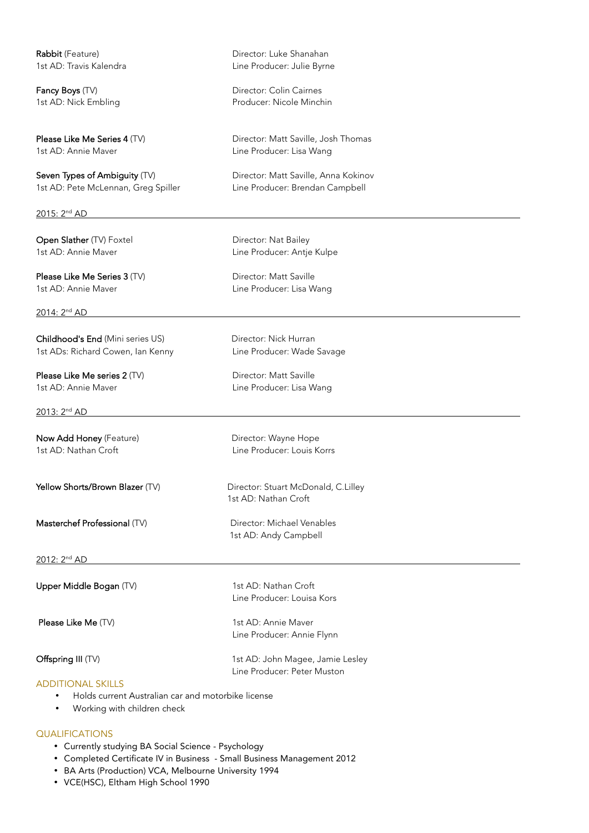1st AD: Annie Maver **Line Producer:** Lisa Wang

Seven Types of Ambiguity (TV) Director: Matt Saville, Anna Kokinov 1st AD: Pete McLennan, Greg Spiller Line Producer: Brendan Campbell

2015: 2nd AD

Open Slather (TV) Foxtel Director: Nat Bailey

Please Like Me Series 3 (TV) Director: Matt Saville 1st AD: Annie Maver **Line Producer: Lisa Wang** 

2014: 2nd AD

Childhood's End (Mini series US) Director: Nick Hurran 1st ADs: Richard Cowen, Ian Kenny **Line Producer: Wade Savage** 

Please Like Me series 2 (TV) Director: Matt Saville 1st AD: Annie Maver **Line Producer: Lisa Wang** 

2013: 2nd AD

1st AD: Nathan Croft Line Producer: Louis Korrs

2012: 2nd AD

Upper Middle Bogan (TV) 1st AD: Nathan Croft Line Producer: Louisa Kors Please Like Me (TV) 1st AD: Annie Maver Line Producer: Annie Flynn Offspring III (TV) 1st AD: John Magee, Jamie Lesley

#### ADDITIONAL SKILLS

- Holds current Australian car and motorbike license
- Working with children check

### QUALIFICATIONS

- Currently studying BA Social Science Psychology
- Completed Certificate IV in Business Small Business Management 2012
- BA Arts (Production) VCA, Melbourne University 1994
- VCE(HSC), Eltham High School 1990

Rabbit (Feature) **Rabbit (Feature)** Director: Luke Shanahan 1st AD: Travis Kalendra **Line Producer:** Julie Byrne

Fancy Boys (TV) **Example 2** Director: Colin Cairnes 1st AD: Nick Embling **Producer: Nicole Minchin** 

Please Like Me Series 4 (TV) Director: Matt Saville, Josh Thomas

1st AD: Annie Maver **Line Producer: Antje Kulpe** 

Now Add Honey (Feature) Mow Add Honey (Feature) Director: Wayne Hope

Yellow Shorts/Brown Blazer (TV) Director: Stuart McDonald, C.Lilley 1st AD: Nathan Croft

## Masterchef Professional (TV) Director: Michael Venables 1st AD: Andy Campbell

Line Producer: Peter Muston